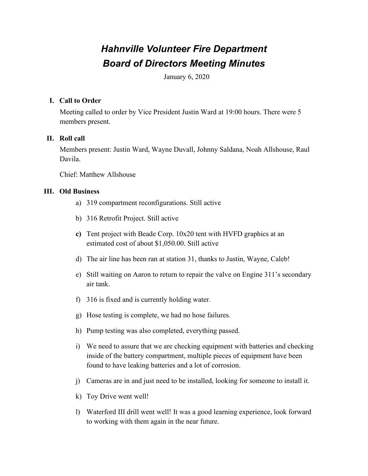# *Hahnville Volunteer Fire Department Board of Directors Meeting Minutes*

January 6, 2020

## **I. Call to Order**

Meeting called to order by Vice President Justin Ward at 19:00 hours. There were 5 members present.

## **II. Roll call**

Members present: Justin Ward, Wayne Duvall, Johnny Saldana, Noah Allshouse, Raul Davila.

Chief: Matthew Allshouse

## **III. Old Business**

- a) 319 compartment reconfigurations. Still active
- b) 316 Retrofit Project. Still active
- **c)** Tent project with Beade Corp. 10x20 tent with HVFD graphics at an estimated cost of about \$1,050.00. Still active
- d) The air line has been ran at station 31, thanks to Justin, Wayne, Caleb!
- e) Still waiting on Aaron to return to repair the valve on Engine 311's secondary air tank.
- f) 316 is fixed and is currently holding water.
- g) Hose testing is complete, we had no hose failures.
- h) Pump testing was also completed, everything passed.
- i) We need to assure that we are checking equipment with batteries and checking inside of the battery compartment, multiple pieces of equipment have been found to have leaking batteries and a lot of corrosion.
- j) Cameras are in and just need to be installed, looking for someone to install it.
- k) Toy Drive went well!
- l) Waterford III drill went well! It was a good learning experience, look forward to working with them again in the near future.